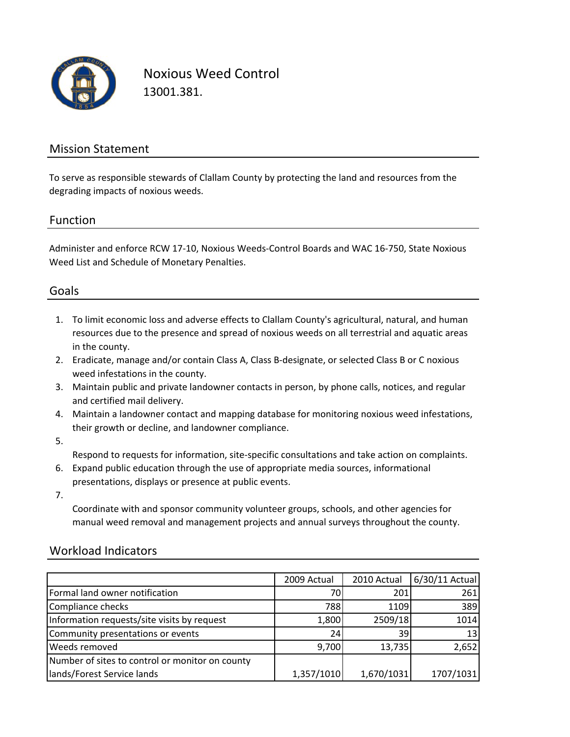

Noxious Weed Control 13001.381.

## Mission Statement

To serve as responsible stewards of Clallam County by protecting the land and resources from the degrading impacts of noxious weeds.

#### Function

Administer and enforce RCW 17‐10, Noxious Weeds‐Control Boards and WAC 16‐750, State Noxious Weed List and Schedule of Monetary Penalties.

### Goals

- 1. To limit economic loss and adverse effects to Clallam County's agricultural, natural, and human resources due to the presence and spread of noxious weeds on all terrestrial and aquatic areas in the county.
- 2. Eradicate, manage and/or contain Class A, Class B‐designate, or selected Class B or C noxious weed infestations in the county.
- 3. Maintain public and private landowner contacts in person, by phone calls, notices, and regular and certified mail delivery.
- 4. Maintain a landowner contact and mapping database for monitoring noxious weed infestations, their growth or decline, and landowner compliance.
- 5.

Respond to requests for information, site‐specific consultations and take action on complaints.

- 6. Expand public education through the use of appropriate media sources, informational presentations, displays or presence at public events.
- 7.

Coordinate with and sponsor community volunteer groups, schools, and other agencies for manual weed removal and management projects and annual surveys throughout the county.

### Workload Indicators

|                                                 | 2009 Actual | 2010 Actual | 6/30/11 Actual |
|-------------------------------------------------|-------------|-------------|----------------|
| Formal land owner notification                  | 70          | 201         | 261            |
| Compliance checks                               | 788         | 1109        | 389            |
| Information requests/site visits by request     | 1,800       | 2509/18     | 1014           |
| Community presentations or events               | 24          | 39          | 13             |
| <b>Weeds removed</b>                            | 9,700       | 13,735      | 2,652          |
| Number of sites to control or monitor on county |             |             |                |
| lands/Forest Service lands                      | 1,357/1010  | 1,670/1031  | 1707/1031      |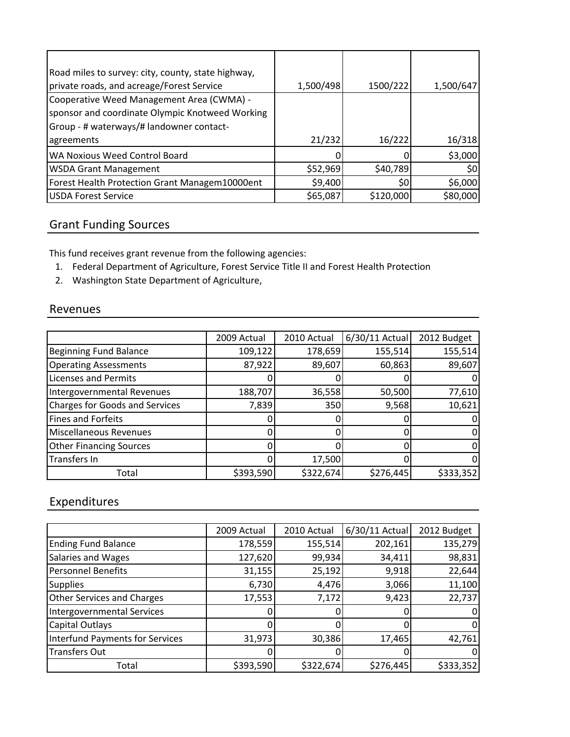| Road miles to survey: city, county, state highway, |           |           |           |
|----------------------------------------------------|-----------|-----------|-----------|
| private roads, and acreage/Forest Service          | 1,500/498 | 1500/222  | 1,500/647 |
| Cooperative Weed Management Area (CWMA) -          |           |           |           |
| sponsor and coordinate Olympic Knotweed Working    |           |           |           |
| Group - # waterways/# landowner contact-           |           |           |           |
| agreements                                         | 21/232    | 16/222    | 16/318    |
| WA Noxious Weed Control Board                      |           |           | \$3,000   |
| <b>WSDA Grant Management</b>                       | \$52,969  | \$40,789  | \$0       |
| Forest Health Protection Grant Managem10000ent     | \$9,400   | \$0       | \$6,000   |
| <b>USDA Forest Service</b>                         | \$65,087  | \$120,000 | \$80,000  |

# Grant Funding Sources

This fund receives grant revenue from the following agencies:

- 1. Federal Department of Agriculture, Forest Service Title II and Forest Health Protection
- 2. Washington State Department of Agriculture,

#### Revenues

|                                       | 2009 Actual | 2010 Actual | 6/30/11 Actual | 2012 Budget |
|---------------------------------------|-------------|-------------|----------------|-------------|
| <b>Beginning Fund Balance</b>         | 109,122     | 178,659     | 155,514        | 155,514     |
| <b>Operating Assessments</b>          | 87,922      | 89,607      | 60,863         | 89,607      |
| <b>Licenses and Permits</b>           |             |             |                |             |
| Intergovernmental Revenues            | 188,707     | 36,558      | 50,500         | 77,610      |
| <b>Charges for Goods and Services</b> | 7,839       | 350         | 9,568          | 10,621      |
| <b>Fines and Forfeits</b>             |             |             |                |             |
| Miscellaneous Revenues                |             |             |                |             |
| <b>Other Financing Sources</b>        |             |             |                |             |
| Transfers In                          |             | 17,500      |                |             |
| Total                                 | \$393,590   | \$322,674   | \$276,445      | \$333,352   |

# Expenditures

|                                        | 2009 Actual | 2010 Actual | 6/30/11 Actual | 2012 Budget |
|----------------------------------------|-------------|-------------|----------------|-------------|
| <b>Ending Fund Balance</b>             | 178,559     | 155,514     | 202,161        | 135,279     |
| Salaries and Wages                     | 127,620     | 99,934      | 34,411         | 98,831      |
| <b>Personnel Benefits</b>              | 31,155      | 25,192      | 9,918          | 22,644      |
| <b>Supplies</b>                        | 6,730       | 4,476       | 3,066          | 11,100      |
| <b>Other Services and Charges</b>      | 17,553      | 7,172       | 9,423          | 22,737      |
| <b>Intergovernmental Services</b>      |             | 0           |                |             |
| Capital Outlays                        |             | 0           |                |             |
| <b>Interfund Payments for Services</b> | 31,973      | 30,386      | 17,465         | 42,761      |
| <b>Transfers Out</b>                   |             | 0           |                |             |
| Total                                  | \$393,590   | \$322,674   | \$276,445      | \$333,352   |